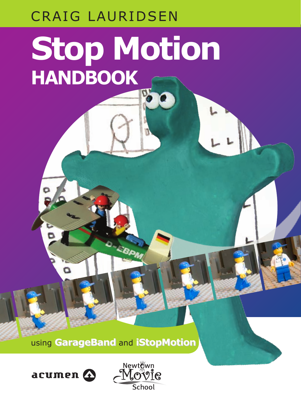### CRAIG LAURIDSEN

# **Stop Motion HANDBOOK**

using **GarageBand GarageBand iStopMotion** and **iStopMotion**

**EBPA** 



Ó

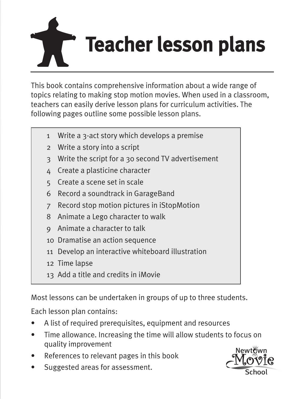

This book contains comprehensive information about a wide range of topics relating to making stop motion movies. When used in a classroom, teachers can easily derive lesson plans for curriculum activities. The following pages outline some possible lesson plans.

- 1 Write a 3-act story which develops a premise
- 2 Write a story into a script
- 3 Write the script for a 30 second TV advertisement
- 4 Create a plasticine character
- 5 Create a scene set in scale
- 6 Record a soundtrack in GarageBand
- 7 Record stop motion pictures in iStopMotion
- 8 Animate a Lego character to walk
- 9 Animate a character to talk
- 10 Dramatise an action sequence
- 11 Develop an interactive whiteboard illustration
- 12 Time lapse
- 13 Add a title and credits in iMovie

Most lessons can be undertaken in groups of up to three students.

Each lesson plan contains:

- A list of required prerequisites, equipment and resources
- Time allowance. Increasing the time will allow students to focus on quality improvement
- References to relevant pages in this book
- Suggested areas for assessment.

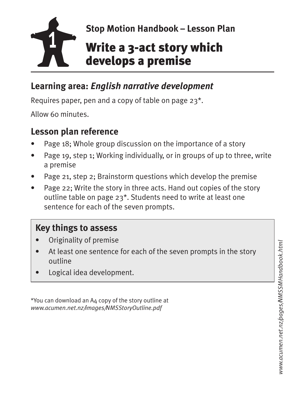

#### **Learning area:** *English narrative development*

Requires paper, pen and a copy of table on page 23\*.

Allow 60 minutes.

#### **Lesson plan reference**

- Page 18; Whole group discussion on the importance of a story
- Page 19, step 1; Working individually, or in groups of up to three, write a premise
- Page 21, step 2; Brainstorm questions which develop the premise
- Page 22; Write the story in three acts. Hand out copies of the story outline table on page 23\*. Students need to write at least one sentence for each of the seven prompts.

#### **Key things to assess**

- Originality of premise
- At least one sentence for each of the seven prompts in the story outline
- Logical idea development.

\*You can download an A4 copy of the story outline at *www.acumen.net.nz/images/NMSStoryOutline.pdf*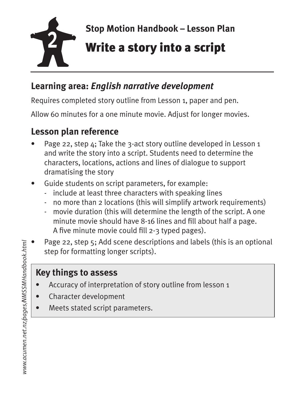

#### **Learning area:** *English narrative development*

Requires completed story outline from Lesson 1, paper and pen.

Allow 60 minutes for a one minute movie. Adjust for longer movies.

#### **Lesson plan reference**

- Page 22, step 4; Take the 3-act story outline developed in Lesson 1 and write the story into a script. Students need to determine the characters, locations, actions and lines of dialogue to support dramatising the story
- Guide students on script parameters, for example:
	- include at least three characters with speaking lines
	- no more than 2 locations (this will simplify artwork requirements)
	- movie duration (this will determine the length of the script. A one minute movie should have 8-16 lines and fill about half a page. A five minute movie could fill 2-3 typed pages).
- Page 22, step 5; Add scene descriptions and labels (this is an optional step for formatting longer scripts).

- Accuracy of interpretation of story outline from lesson 1
- Character development
- Meets stated script parameters.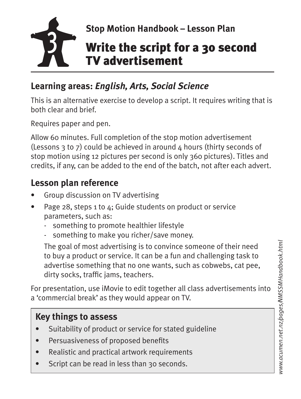

### **Learning areas:** *English, Arts, Social Science*

This is an alternative exercise to develop a script. It requires writing that is both clear and brief.

Requires paper and pen.

Allow 60 minutes. Full completion of the stop motion advertisement (Lessons 3 to 7) could be achieved in around  $\Delta$  hours (thirty seconds of stop motion using 12 pictures per second is only 360 pictures). Titles and credits, if any, can be added to the end of the batch, not after each advert.

### **Lesson plan reference**

- Group discussion on TV advertising
- Page 28, steps 1 to 4; Guide students on product or service parameters, such as:
	- something to promote healthier lifestyle
	- something to make you richer/save money.

The goal of most advertising is to convince someone of their need to buy a product or service. It can be a fun and challenging task to advertise something that no one wants, such as cobwebs, cat pee, dirty socks, traffic jams, teachers.

For presentation, use iMovie to edit together all class advertisements into a 'commercial break' as they would appear on TV.

- Suitability of product or service for stated guideline
- Persuasiveness of proposed benefits
- Realistic and practical artwork requirements
- Script can be read in less than 30 seconds.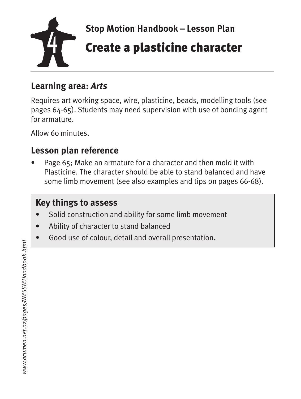

#### **Learning area:** *Arts*

Requires art working space, wire, plasticine, beads, modelling tools (see pages 64-65). Students may need supervision with use of bonding agent for armature.

Allow 60 minutes.

#### **Lesson plan reference**

• Page 65; Make an armature for a character and then mold it with Plasticine. The character should be able to stand balanced and have some limb movement (see also examples and tips on pages 66-68).

- Solid construction and ability for some limb movement
- Ability of character to stand balanced
- Good use of colour, detail and overall presentation.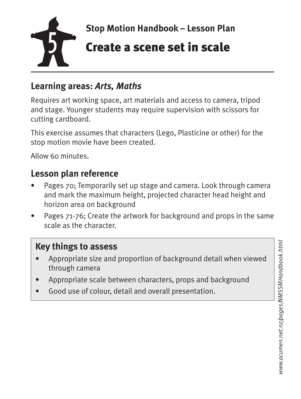

#### **Learning areas:** *Arts, Maths*

Requires art working space, art materials and access to camera, tripod and stage. Younger students may require supervision with scissors for cutting cardboard.

This exercise assumes that characters (Lego, Plasticine or other) for the stop motion movie have been created.

Allow 60 minutes.

#### **Lesson plan reference**

- Pages 70; Temporarily set up stage and camera. Look through camera and mark the maximum height, projected character head height and horizon area on background
- Pages 71-76; Create the artwork for background and props in the same scale as the character.

#### **Key things to assess**

- Appropriate size and proportion of background detail when viewed through camera
- Appropriate scale between characters, props and background
- Good use of colour, detail and overall presentation.

*www.acumen.net.nz/pages/NMSSMHandbook.html*www.acumen.net.nz/pages/NMSSMHandbook.htm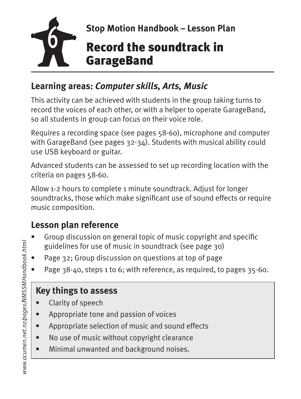

#### **Learning areas:** *Computer skills, Arts, Music*

This activity can be achieved with students in the group taking turns to record the voices of each other, or with a helper to operate GarageBand, so all students in group can focus on their voice role.

Requires a recording space (see pages 58-60), microphone and computer with GarageBand (see pages 32-34). Students with musical ability could use USB keyboard or guitar.

Advanced students can be assessed to set up recording location with the criteria on pages 58-60.

Allow 1-2 hours to complete 1 minute soundtrack. Adjust for longer soundtracks, those which make significant use of sound effects or require music composition.

### **Lesson plan reference**

- Group discussion on general topic of music copyright and specific guidelines for use of music in soundtrack (see page 30)
- Page 32; Group discussion on questions at top of page
- Page 38-40, steps 1 to 6; with reference, as required, to pages 35-60.

- Clarity of speech
- Appropriate tone and passion of voices
- Appropriate selection of music and sound effects
- No use of music without copyright clearance
- Minimal unwanted and background noises.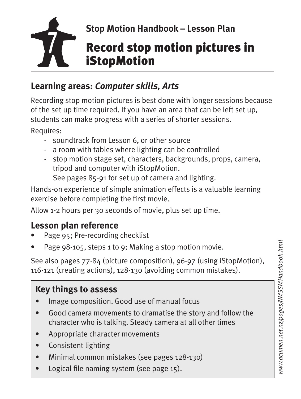

#### **Learning areas:** *Computer skills, Arts*

Recording stop motion pictures is best done with longer sessions because of the set up time required. If you have an area that can be left set up, students can make progress with a series of shorter sessions.

Requires:

- soundtrack from Lesson 6, or other source
- a room with tables where lighting can be controlled
- stop motion stage set, characters, backgrounds, props, camera, tripod and computer with iStopMotion. See pages 85-91 for set up of camera and lighting.

Hands-on experience of simple animation effects is a valuable learning exercise before completing the first movie.

Allow 1-2 hours per 30 seconds of movie, plus set up time.

#### **Lesson plan reference**

- Page 95; Pre-recording checklist
- Page 98-105, steps 1 to 9; Making a stop motion movie.

See also pages 77-84 (picture composition), 96-97 (using iStopMotion), 116-121 (creating actions), 128-130 (avoiding common mistakes).

- Image composition. Good use of manual focus
- Good camera movements to dramatise the story and follow the character who is talking. Steady camera at all other times
- Appropriate character movements
- Consistent lighting
- Minimal common mistakes (see pages 128-130)
- Logical file naming system (see page 15).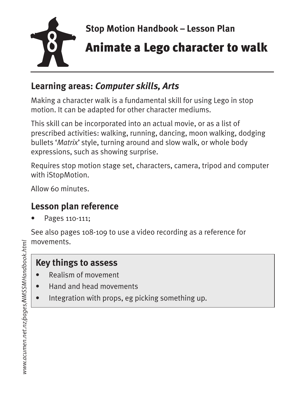

#### **Learning areas:** *Computer skills, Arts*

Making a character walk is a fundamental skill for using Lego in stop motion. It can be adapted for other character mediums.

This skill can be incorporated into an actual movie, or as a list of prescribed activities: walking, running, dancing, moon walking, dodging bullets '*Matrix*' style, turning around and slow walk, or whole body expressions, such as showing surprise.

Requires stop motion stage set, characters, camera, tripod and computer with iStopMotion.

Allow 60 minutes.

### **Lesson plan reference**

• Pages 110-111;

See also pages 108-109 to use a video recording as a reference for movements.

- Realism of movement
- Hand and head movements
- Integration with props, eg picking something up.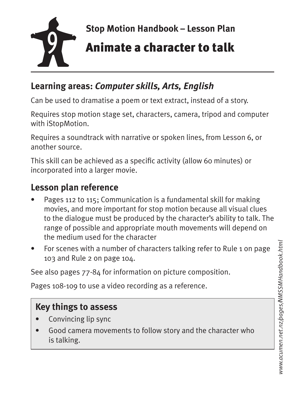

#### **Learning areas:** *Computer skills, Arts, English*

Can be used to dramatise a poem or text extract, instead of a story.

Requires stop motion stage set, characters, camera, tripod and computer with iStopMotion.

Requires a soundtrack with narrative or spoken lines, from Lesson 6, or another source.

This skill can be achieved as a specific activity (allow 60 minutes) or incorporated into a larger movie.

#### **Lesson plan reference**

- Pages 112 to 115; Communication is a fundamental skill for making movies, and more important for stop motion because all visual clues to the dialogue must be produced by the character's ability to talk. The range of possible and appropriate mouth movements will depend on the medium used for the character
- For scenes with a number of characters talking refer to Rule 1 on page 103 and Rule 2 on page 104.

See also pages 77-84 for information on picture composition.

Pages 108-109 to use a video recording as a reference.

- Convincing lip sync
- Good camera movements to follow story and the character who is talking.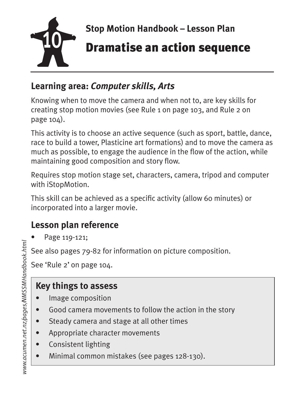

#### **Learning area:** *Computer skills, Arts*

Knowing when to move the camera and when not to, are key skills for creating stop motion movies (see Rule 1 on page 103, and Rule 2 on page 104).

This activity is to choose an active sequence (such as sport, battle, dance, race to build a tower, Plasticine art formations) and to move the camera as much as possible, to engage the audience in the flow of the action, while maintaining good composition and story flow.

Requires stop motion stage set, characters, camera, tripod and computer with iStopMotion.

This skill can be achieved as a specific activity (allow 60 minutes) or incorporated into a larger movie.

### **Lesson plan reference**

• Page 119-121;

See also pages 79-82 for information on picture composition.

See 'Rule 2' on page 104.

- Image composition
- Good camera movements to follow the action in the story
- Steady camera and stage at all other times
- Appropriate character movements
- Consistent lighting
- Minimal common mistakes (see pages 128-130).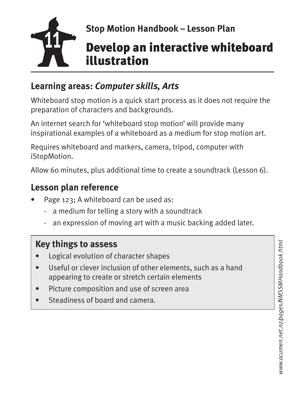

## Stop Motion Handbook – Lesson Plan<br> **Develop an interactive whiteboard** illustration

#### **Learning areas:** *Computer skills, Arts*

Whiteboard stop motion is a quick start process as it does not require the preparation of characters and backgrounds.

An internet search for 'whiteboard stop motion' will provide many inspirational examples of a whiteboard as a medium for stop motion art.

Requires whiteboard and markers, camera, tripod, computer with iStopMotion.

Allow 60 minutes, plus additional time to create a soundtrack (Lesson 6).

#### **Lesson plan reference**

- Page 123; A whiteboard can be used as:
	- a medium for telling a story with a soundtrack
	- an expression of moving art with a music backing added later.

- Logical evolution of character shapes
- Useful or clever inclusion of other elements, such as a hand appearing to create or stretch certain elements
- Picture composition and use of screen area
- Steadiness of board and camera.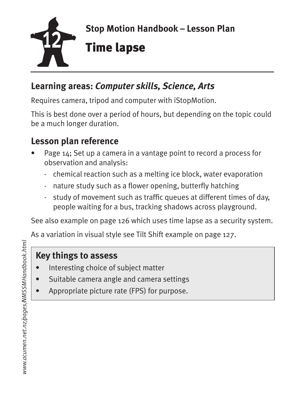

#### **Learning areas:** *Computer skills, Science, Arts*

Requires camera, tripod and computer with iStopMotion.

This is best done over a period of hours, but depending on the topic could be a much longer duration.

#### **Lesson plan reference**

- Page 14; Set up a camera in a vantage point to record a process for observation and analysis:
	- chemical reaction such as a melting ice block, water evaporation
	- nature study such as a flower opening, butterfly hatching
	- study of movement such as traffic queues at different times of day, people waiting for a bus, tracking shadows across playground.

See also example on page 126 which uses time lapse as a security system.

As a variation in visual style see Tilt Shift example on page 127.

- Interesting choice of subject matter
- Suitable camera angle and camera settings
- Appropriate picture rate (FPS) for purpose.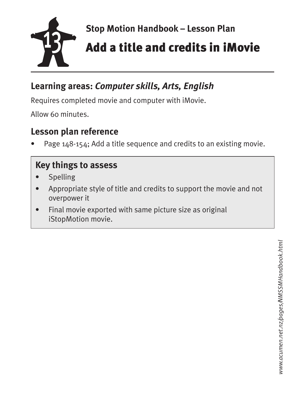

# **13 Stop Motion Handbook – Lesson Plan**<br> **Add a title and credits in iMovie**

#### **Learning areas:** *Computer skills, Arts, English*

Requires completed movie and computer with iMovie.

Allow 60 minutes.

#### **Lesson plan reference**

Page 148-154; Add a title sequence and credits to an existing movie.

- **Spelling**
- Appropriate style of title and credits to support the movie and not overpower it
- Final movie exported with same picture size as original iStopMotion movie.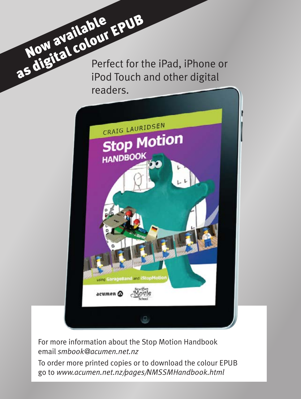Now available EPUB Perfect for the iPad, iPhone or iPod Touch and other digital readers.



For more information about the Stop Motion Handbook email *smbook@acumen.net.nz* 

To order more printed copies or to download the colour EPUB go to *www.acumen.net.nz/pages/NMSSMHandbook.html*